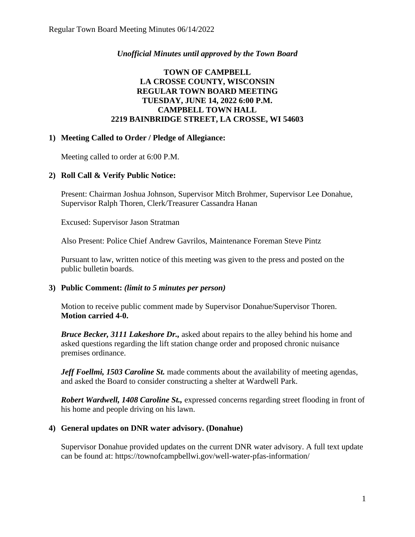## *Unofficial Minutes until approved by the Town Board*

# **TOWN OF CAMPBELL LA CROSSE COUNTY, WISCONSIN REGULAR TOWN BOARD MEETING TUESDAY, JUNE 14, 2022 6:00 P.M. CAMPBELL TOWN HALL 2219 BAINBRIDGE STREET, LA CROSSE, WI 54603**

#### **1) Meeting Called to Order / Pledge of Allegiance:**

Meeting called to order at 6:00 P.M.

## **2) Roll Call & Verify Public Notice:**

Present: Chairman Joshua Johnson, Supervisor Mitch Brohmer, Supervisor Lee Donahue, Supervisor Ralph Thoren, Clerk/Treasurer Cassandra Hanan

Excused: Supervisor Jason Stratman

Also Present: Police Chief Andrew Gavrilos, Maintenance Foreman Steve Pintz

Pursuant to law, written notice of this meeting was given to the press and posted on the public bulletin boards.

#### **3) Public Comment:** *(limit to 5 minutes per person)*

Motion to receive public comment made by Supervisor Donahue/Supervisor Thoren. **Motion carried 4-0.**

*Bruce Becker, 3111 Lakeshore Dr.,* asked about repairs to the alley behind his home and asked questions regarding the lift station change order and proposed chronic nuisance premises ordinance.

*Jeff Foellmi, 1503 Caroline St.* made comments about the availability of meeting agendas, and asked the Board to consider constructing a shelter at Wardwell Park.

*Robert Wardwell, 1408 Caroline St.,* expressed concerns regarding street flooding in front of his home and people driving on his lawn.

#### **4) General updates on DNR water advisory. (Donahue)**

Supervisor Donahue provided updates on the current DNR water advisory. A full text update can be found at: https://townofcampbellwi.gov/well-water-pfas-information/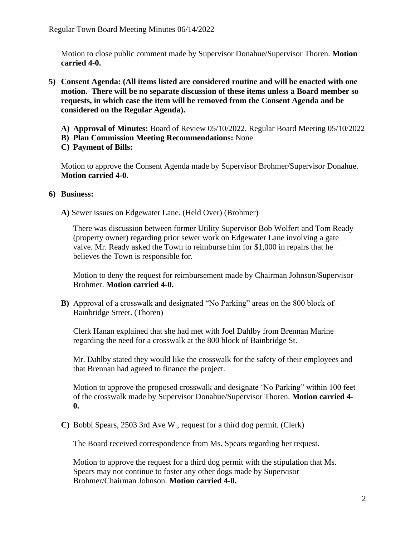Motion to close public comment made by Supervisor Donahue/Supervisor Thoren. **Motion carried 4-0.**

- **5) Consent Agenda: (All items listed are considered routine and will be enacted with one motion. There will be no separate discussion of these items unless a Board member so requests, in which case the item will be removed from the Consent Agenda and be considered on the Regular Agenda).**
	- **A) Approval of Minutes:** Board of Review 05/10/2022, Regular Board Meeting 05/10/2022
	- **B) Plan Commission Meeting Recommendations:** None
	- **C) Payment of Bills:**

Motion to approve the Consent Agenda made by Supervisor Brohmer/Supervisor Donahue. **Motion carried 4-0.** 

#### **6) Business:**

**A)** Sewer issues on Edgewater Lane. (Held Over) (Brohmer)

There was discussion between former Utility Supervisor Bob Wolfert and Tom Ready (property owner) regarding prior sewer work on Edgewater Lane involving a gate valve. Mr. Ready asked the Town to reimburse him for \$1,000 in repairs that he believes the Town is responsible for.

Motion to deny the request for reimbursement made by Chairman Johnson/Supervisor Brohmer. **Motion carried 4-0.** 

**B)** Approval of a crosswalk and designated "No Parking" areas on the 800 block of Bainbridge Street. (Thoren)

Clerk Hanan explained that she had met with Joel Dahlby from Brennan Marine regarding the need for a crosswalk at the 800 block of Bainbridge St.

Mr. Dahlby stated they would like the crosswalk for the safety of their employees and that Brennan had agreed to finance the project.

Motion to approve the proposed crosswalk and designate 'No Parking" within 100 feet of the crosswalk made by Supervisor Donahue/Supervisor Thoren. **Motion carried 4- 0.** 

**C)** Bobbi Spears, 2503 3rd Ave W., request for a third dog permit. (Clerk)

The Board received correspondence from Ms. Spears regarding her request.

Motion to approve the request for a third dog permit with the stipulation that Ms. Spears may not continue to foster any other dogs made by Supervisor Brohmer/Chairman Johnson. **Motion carried 4-0.**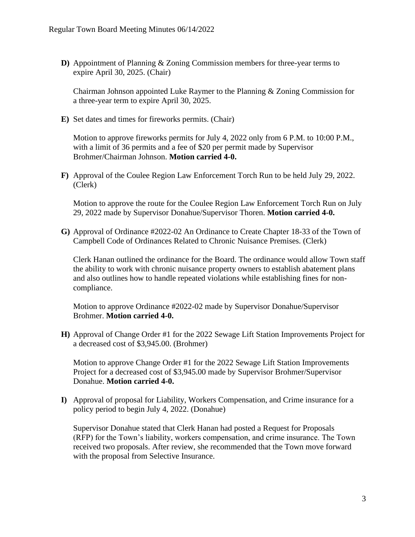**D)** Appointment of Planning & Zoning Commission members for three-year terms to expire April 30, 2025. (Chair)

Chairman Johnson appointed Luke Raymer to the Planning & Zoning Commission for a three-year term to expire April 30, 2025.

**E)** Set dates and times for fireworks permits. (Chair)

Motion to approve fireworks permits for July 4, 2022 only from 6 P.M. to 10:00 P.M., with a limit of 36 permits and a fee of \$20 per permit made by Supervisor Brohmer/Chairman Johnson. **Motion carried 4-0.** 

**F)** Approval of the Coulee Region Law Enforcement Torch Run to be held July 29, 2022. (Clerk)

Motion to approve the route for the Coulee Region Law Enforcement Torch Run on July 29, 2022 made by Supervisor Donahue/Supervisor Thoren. **Motion carried 4-0.**

**G)** Approval of Ordinance #2022-02 An Ordinance to Create Chapter 18-33 of the Town of Campbell Code of Ordinances Related to Chronic Nuisance Premises. (Clerk)

Clerk Hanan outlined the ordinance for the Board. The ordinance would allow Town staff the ability to work with chronic nuisance property owners to establish abatement plans and also outlines how to handle repeated violations while establishing fines for noncompliance.

Motion to approve Ordinance #2022-02 made by Supervisor Donahue/Supervisor Brohmer. **Motion carried 4-0.** 

**H)** Approval of Change Order #1 for the 2022 Sewage Lift Station Improvements Project for a decreased cost of \$3,945.00. (Brohmer)

Motion to approve Change Order #1 for the 2022 Sewage Lift Station Improvements Project for a decreased cost of \$3,945.00 made by Supervisor Brohmer/Supervisor Donahue. **Motion carried 4-0.** 

**I)** Approval of proposal for Liability, Workers Compensation, and Crime insurance for a policy period to begin July 4, 2022. (Donahue)

Supervisor Donahue stated that Clerk Hanan had posted a Request for Proposals (RFP) for the Town's liability, workers compensation, and crime insurance. The Town received two proposals. After review, she recommended that the Town move forward with the proposal from Selective Insurance.